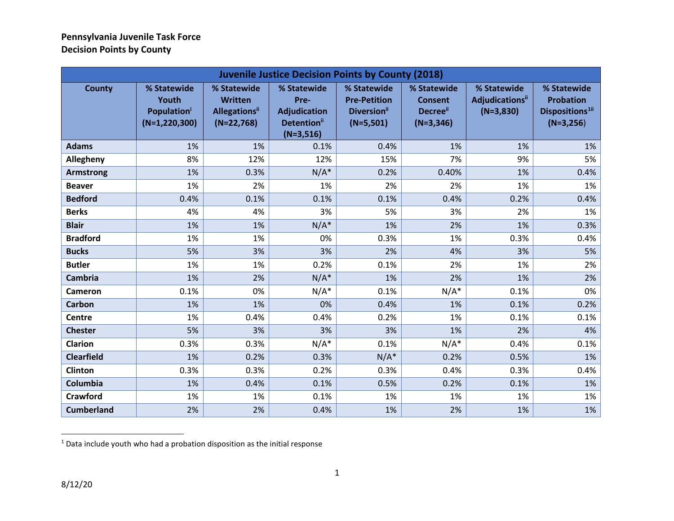<span id="page-0-0"></span>

| <b>Juvenile Justice Decision Points by County (2018)</b> |                                                                           |                                                                        |                                                                                             |                                                                                     |                                                         |                                                           |                                                                               |
|----------------------------------------------------------|---------------------------------------------------------------------------|------------------------------------------------------------------------|---------------------------------------------------------------------------------------------|-------------------------------------------------------------------------------------|---------------------------------------------------------|-----------------------------------------------------------|-------------------------------------------------------------------------------|
| <b>County</b>                                            | % Statewide<br>Youth<br><b>Population</b> <sup>i</sup><br>$(N=1,220,300)$ | % Statewide<br><b>Written</b><br><b>Allegations</b> ii<br>$(N=22,768)$ | % Statewide<br>Pre-<br><b>Adjudication</b><br><b>Detention</b> <sup>ii</sup><br>$(N=3,516)$ | % Statewide<br><b>Pre-Petition</b><br><b>Diversion</b> <sup>ii</sup><br>$(N=5,501)$ | % Statewide<br><b>Consent</b><br>Decree"<br>$(N=3,346)$ | % Statewide<br>Adjudications <sup>ii</sup><br>$(N=3,830)$ | % Statewide<br><b>Probation</b><br>Dispositions <sup>1ii</sup><br>$(N=3,256)$ |
| <b>Adams</b>                                             | 1%                                                                        | 1%                                                                     | 0.1%                                                                                        | 0.4%                                                                                | 1%                                                      | 1%                                                        | 1%                                                                            |
| Allegheny                                                | 8%                                                                        | 12%                                                                    | 12%                                                                                         | 15%                                                                                 | 7%                                                      | 9%                                                        | 5%                                                                            |
| <b>Armstrong</b>                                         | 1%                                                                        | 0.3%                                                                   | $N/A^*$                                                                                     | 0.2%                                                                                | 0.40%                                                   | 1%                                                        | 0.4%                                                                          |
| <b>Beaver</b>                                            | 1%                                                                        | 2%                                                                     | 1%                                                                                          | 2%                                                                                  | 2%                                                      | 1%                                                        | 1%                                                                            |
| <b>Bedford</b>                                           | 0.4%                                                                      | 0.1%                                                                   | 0.1%                                                                                        | 0.1%                                                                                | 0.4%                                                    | 0.2%                                                      | 0.4%                                                                          |
| <b>Berks</b>                                             | 4%                                                                        | 4%                                                                     | 3%                                                                                          | 5%                                                                                  | 3%                                                      | 2%                                                        | 1%                                                                            |
| <b>Blair</b>                                             | 1%                                                                        | 1%                                                                     | $N/A^*$                                                                                     | 1%                                                                                  | 2%                                                      | 1%                                                        | 0.3%                                                                          |
| <b>Bradford</b>                                          | 1%                                                                        | 1%                                                                     | 0%                                                                                          | 0.3%                                                                                | 1%                                                      | 0.3%                                                      | 0.4%                                                                          |
| <b>Bucks</b>                                             | 5%                                                                        | 3%                                                                     | 3%                                                                                          | 2%                                                                                  | 4%                                                      | 3%                                                        | 5%                                                                            |
| <b>Butler</b>                                            | 1%                                                                        | 1%                                                                     | 0.2%                                                                                        | 0.1%                                                                                | 2%                                                      | 1%                                                        | 2%                                                                            |
| <b>Cambria</b>                                           | 1%                                                                        | 2%                                                                     | $N/A^*$                                                                                     | 1%                                                                                  | 2%                                                      | 1%                                                        | 2%                                                                            |
| Cameron                                                  | 0.1%                                                                      | 0%                                                                     | $N/A^*$                                                                                     | 0.1%                                                                                | $N/A^*$                                                 | 0.1%                                                      | 0%                                                                            |
| <b>Carbon</b>                                            | 1%                                                                        | 1%                                                                     | 0%                                                                                          | 0.4%                                                                                | 1%                                                      | 0.1%                                                      | 0.2%                                                                          |
| Centre                                                   | 1%                                                                        | 0.4%                                                                   | 0.4%                                                                                        | 0.2%                                                                                | 1%                                                      | 0.1%                                                      | 0.1%                                                                          |
| <b>Chester</b>                                           | 5%                                                                        | 3%                                                                     | 3%                                                                                          | 3%                                                                                  | 1%                                                      | 2%                                                        | 4%                                                                            |
| <b>Clarion</b>                                           | 0.3%                                                                      | 0.3%                                                                   | $N/A^*$                                                                                     | 0.1%                                                                                | $N/A^*$                                                 | 0.4%                                                      | 0.1%                                                                          |
| <b>Clearfield</b>                                        | 1%                                                                        | 0.2%                                                                   | 0.3%                                                                                        | $N/A^*$                                                                             | 0.2%                                                    | 0.5%                                                      | 1%                                                                            |
| <b>Clinton</b>                                           | 0.3%                                                                      | 0.3%                                                                   | 0.2%                                                                                        | 0.3%                                                                                | 0.4%                                                    | 0.3%                                                      | 0.4%                                                                          |
| Columbia                                                 | 1%                                                                        | 0.4%                                                                   | 0.1%                                                                                        | 0.5%                                                                                | 0.2%                                                    | 0.1%                                                      | 1%                                                                            |
| <b>Crawford</b>                                          | 1%                                                                        | 1%                                                                     | 0.1%                                                                                        | 1%                                                                                  | 1%                                                      | 1%                                                        | 1%                                                                            |
| <b>Cumberland</b>                                        | 2%                                                                        | 2%                                                                     | 0.4%                                                                                        | 1%                                                                                  | 2%                                                      | 1%                                                        | 1%                                                                            |

 $1$  Data include youth who had a probation disposition as the initial response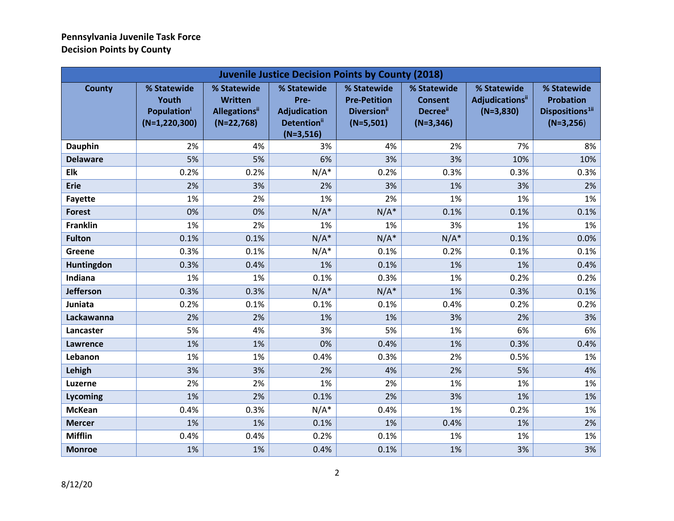| <b>Juvenile Justice Decision Points by County (2018)</b> |                                                                |                                                                        |                                                                                      |                                                                                     |                                                         |                                                           |                                                                               |
|----------------------------------------------------------|----------------------------------------------------------------|------------------------------------------------------------------------|--------------------------------------------------------------------------------------|-------------------------------------------------------------------------------------|---------------------------------------------------------|-----------------------------------------------------------|-------------------------------------------------------------------------------|
| <b>County</b>                                            | % Statewide<br>Youth<br><b>Population</b><br>$(N=1, 220, 300)$ | % Statewide<br><b>Written</b><br><b>Allegations</b> ii<br>$(N=22,768)$ | % Statewide<br>Pre-<br><b>Adjudication</b><br>Detention <sup>ii</sup><br>$(N=3,516)$ | % Statewide<br><b>Pre-Petition</b><br><b>Diversion</b> <sup>ii</sup><br>$(N=5,501)$ | % Statewide<br><b>Consent</b><br>Decree"<br>$(N=3,346)$ | % Statewide<br>Adjudications <sup>ii</sup><br>$(N=3,830)$ | % Statewide<br><b>Probation</b><br>Dispositions <sup>1ii</sup><br>$(N=3,256)$ |
| <b>Dauphin</b>                                           | 2%                                                             | 4%                                                                     | 3%                                                                                   | 4%                                                                                  | 2%                                                      | 7%                                                        | 8%                                                                            |
| <b>Delaware</b>                                          | 5%                                                             | 5%                                                                     | 6%                                                                                   | 3%                                                                                  | 3%                                                      | 10%                                                       | 10%                                                                           |
| Elk                                                      | 0.2%                                                           | 0.2%                                                                   | $N/A^*$                                                                              | 0.2%                                                                                | 0.3%                                                    | 0.3%                                                      | 0.3%                                                                          |
| <b>Erie</b>                                              | 2%                                                             | 3%                                                                     | 2%                                                                                   | 3%                                                                                  | 1%                                                      | 3%                                                        | 2%                                                                            |
| <b>Fayette</b>                                           | 1%                                                             | 2%                                                                     | 1%                                                                                   | 2%                                                                                  | 1%                                                      | 1%                                                        | 1%                                                                            |
| <b>Forest</b>                                            | 0%                                                             | 0%                                                                     | $N/A^*$                                                                              | $N/A^*$                                                                             | 0.1%                                                    | 0.1%                                                      | 0.1%                                                                          |
| <b>Franklin</b>                                          | 1%                                                             | 2%                                                                     | 1%                                                                                   | 1%                                                                                  | 3%                                                      | 1%                                                        | 1%                                                                            |
| <b>Fulton</b>                                            | 0.1%                                                           | 0.1%                                                                   | $N/A^*$                                                                              | $N/A^*$                                                                             | $N/A^*$                                                 | 0.1%                                                      | 0.0%                                                                          |
| <b>Greene</b>                                            | 0.3%                                                           | 0.1%                                                                   | $N/A^*$                                                                              | 0.1%                                                                                | 0.2%                                                    | 0.1%                                                      | 0.1%                                                                          |
| Huntingdon                                               | 0.3%                                                           | 0.4%                                                                   | 1%                                                                                   | 0.1%                                                                                | 1%                                                      | 1%                                                        | 0.4%                                                                          |
| Indiana                                                  | 1%                                                             | 1%                                                                     | 0.1%                                                                                 | 0.3%                                                                                | 1%                                                      | 0.2%                                                      | 0.2%                                                                          |
| <b>Jefferson</b>                                         | 0.3%                                                           | 0.3%                                                                   | $N/A^*$                                                                              | $N/A^*$                                                                             | 1%                                                      | 0.3%                                                      | 0.1%                                                                          |
| Juniata                                                  | 0.2%                                                           | 0.1%                                                                   | 0.1%                                                                                 | 0.1%                                                                                | 0.4%                                                    | 0.2%                                                      | 0.2%                                                                          |
| Lackawanna                                               | 2%                                                             | 2%                                                                     | 1%                                                                                   | 1%                                                                                  | 3%                                                      | 2%                                                        | 3%                                                                            |
| Lancaster                                                | 5%                                                             | 4%                                                                     | 3%                                                                                   | 5%                                                                                  | 1%                                                      | 6%                                                        | 6%                                                                            |
| <b>Lawrence</b>                                          | 1%                                                             | 1%                                                                     | 0%                                                                                   | 0.4%                                                                                | 1%                                                      | 0.3%                                                      | 0.4%                                                                          |
| Lebanon                                                  | 1%                                                             | 1%                                                                     | 0.4%                                                                                 | 0.3%                                                                                | 2%                                                      | 0.5%                                                      | 1%                                                                            |
| Lehigh                                                   | 3%                                                             | 3%                                                                     | 2%                                                                                   | 4%                                                                                  | 2%                                                      | 5%                                                        | 4%                                                                            |
| <b>Luzerne</b>                                           | 2%                                                             | 2%                                                                     | 1%                                                                                   | 2%                                                                                  | 1%                                                      | 1%                                                        | 1%                                                                            |
| Lycoming                                                 | 1%                                                             | 2%                                                                     | 0.1%                                                                                 | 2%                                                                                  | 3%                                                      | 1%                                                        | 1%                                                                            |
| <b>McKean</b>                                            | 0.4%                                                           | 0.3%                                                                   | $N/A^*$                                                                              | 0.4%                                                                                | 1%                                                      | 0.2%                                                      | 1%                                                                            |
| <b>Mercer</b>                                            | 1%                                                             | 1%                                                                     | 0.1%                                                                                 | 1%                                                                                  | 0.4%                                                    | 1%                                                        | 2%                                                                            |
| <b>Mifflin</b>                                           | 0.4%                                                           | 0.4%                                                                   | 0.2%                                                                                 | 0.1%                                                                                | 1%                                                      | 1%                                                        | 1%                                                                            |
| <b>Monroe</b>                                            | 1%                                                             | 1%                                                                     | 0.4%                                                                                 | 0.1%                                                                                | 1%                                                      | 3%                                                        | 3%                                                                            |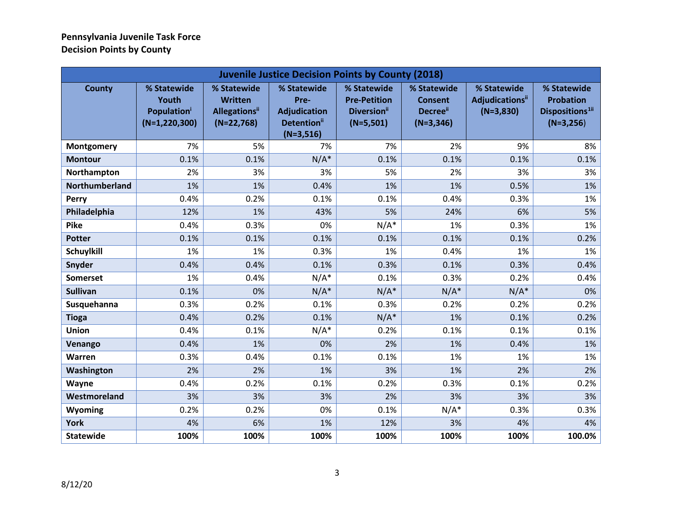<span id="page-2-0"></span>

| <b>Juvenile Justice Decision Points by County (2018)</b> |                                                                             |                                                                       |                                                                                      |                                                                                     |                                                                             |                                                           |                                                                               |
|----------------------------------------------------------|-----------------------------------------------------------------------------|-----------------------------------------------------------------------|--------------------------------------------------------------------------------------|-------------------------------------------------------------------------------------|-----------------------------------------------------------------------------|-----------------------------------------------------------|-------------------------------------------------------------------------------|
| <b>County</b>                                            | % Statewide<br>Youth<br><b>Population</b> <sup>i</sup><br>$(N=1, 220, 300)$ | % Statewide<br><b>Written</b><br><b>Allegations</b> "<br>$(N=22,768)$ | % Statewide<br>Pre-<br><b>Adjudication</b><br>Detention <sup>ii</sup><br>$(N=3,516)$ | % Statewide<br><b>Pre-Petition</b><br><b>Diversion</b> <sup>ii</sup><br>$(N=5,501)$ | % Statewide<br><b>Consent</b><br><b>Decree</b> <sup>ii</sup><br>$(N=3,346)$ | % Statewide<br>Adjudications <sup>ii</sup><br>$(N=3,830)$ | % Statewide<br><b>Probation</b><br>Dispositions <sup>1ii</sup><br>$(N=3,256)$ |
| Montgomery                                               | 7%                                                                          | 5%                                                                    | 7%                                                                                   | 7%                                                                                  | 2%                                                                          | 9%                                                        | 8%                                                                            |
| <b>Montour</b>                                           | 0.1%                                                                        | 0.1%                                                                  | $N/A^*$                                                                              | 0.1%                                                                                | 0.1%                                                                        | 0.1%                                                      | 0.1%                                                                          |
| Northampton                                              | 2%                                                                          | 3%                                                                    | 3%                                                                                   | 5%                                                                                  | 2%                                                                          | 3%                                                        | 3%                                                                            |
| Northumberland                                           | 1%                                                                          | 1%                                                                    | 0.4%                                                                                 | 1%                                                                                  | 1%                                                                          | 0.5%                                                      | 1%                                                                            |
| Perry                                                    | 0.4%                                                                        | 0.2%                                                                  | 0.1%                                                                                 | 0.1%                                                                                | 0.4%                                                                        | 0.3%                                                      | 1%                                                                            |
| Philadelphia                                             | 12%                                                                         | 1%                                                                    | 43%                                                                                  | 5%                                                                                  | 24%                                                                         | 6%                                                        | 5%                                                                            |
| <b>Pike</b>                                              | 0.4%                                                                        | 0.3%                                                                  | 0%                                                                                   | $N/A^*$                                                                             | 1%                                                                          | 0.3%                                                      | 1%                                                                            |
| <b>Potter</b>                                            | 0.1%                                                                        | 0.1%                                                                  | 0.1%                                                                                 | 0.1%                                                                                | 0.1%                                                                        | 0.1%                                                      | 0.2%                                                                          |
| <b>Schuylkill</b>                                        | 1%                                                                          | 1%                                                                    | 0.3%                                                                                 | 1%                                                                                  | 0.4%                                                                        | 1%                                                        | 1%                                                                            |
| Snyder                                                   | 0.4%                                                                        | 0.4%                                                                  | 0.1%                                                                                 | 0.3%                                                                                | 0.1%                                                                        | 0.3%                                                      | 0.4%                                                                          |
| <b>Somerset</b>                                          | 1%                                                                          | 0.4%                                                                  | $N/A^*$                                                                              | 0.1%                                                                                | 0.3%                                                                        | 0.2%                                                      | 0.4%                                                                          |
| <b>Sullivan</b>                                          | 0.1%                                                                        | 0%                                                                    | $N/A^*$                                                                              | $N/A^*$                                                                             | $N/A^*$                                                                     | $N/A^*$                                                   | 0%                                                                            |
| Susquehanna                                              | 0.3%                                                                        | 0.2%                                                                  | 0.1%                                                                                 | 0.3%                                                                                | 0.2%                                                                        | 0.2%                                                      | 0.2%                                                                          |
| <b>Tioga</b>                                             | 0.4%                                                                        | 0.2%                                                                  | 0.1%                                                                                 | $N/A^*$                                                                             | 1%                                                                          | 0.1%                                                      | 0.2%                                                                          |
| <b>Union</b>                                             | 0.4%                                                                        | 0.1%                                                                  | $N/A^*$                                                                              | 0.2%                                                                                | 0.1%                                                                        | 0.1%                                                      | 0.1%                                                                          |
| Venango                                                  | 0.4%                                                                        | 1%                                                                    | 0%                                                                                   | 2%                                                                                  | 1%                                                                          | 0.4%                                                      | 1%                                                                            |
| Warren                                                   | 0.3%                                                                        | 0.4%                                                                  | 0.1%                                                                                 | 0.1%                                                                                | 1%                                                                          | 1%                                                        | 1%                                                                            |
| Washington                                               | 2%                                                                          | 2%                                                                    | 1%                                                                                   | 3%                                                                                  | 1%                                                                          | 2%                                                        | 2%                                                                            |
| Wayne                                                    | 0.4%                                                                        | 0.2%                                                                  | 0.1%                                                                                 | 0.2%                                                                                | 0.3%                                                                        | 0.1%                                                      | 0.2%                                                                          |
| Westmoreland                                             | 3%                                                                          | 3%                                                                    | 3%                                                                                   | 2%                                                                                  | 3%                                                                          | 3%                                                        | 3%                                                                            |
| Wyoming                                                  | 0.2%                                                                        | 0.2%                                                                  | 0%                                                                                   | 0.1%                                                                                | $N/A^*$                                                                     | 0.3%                                                      | 0.3%                                                                          |
| <b>York</b>                                              | 4%                                                                          | 6%                                                                    | 1%                                                                                   | 12%                                                                                 | 3%                                                                          | 4%                                                        | 4%                                                                            |
| <b>Statewide</b>                                         | 100%                                                                        | 100%                                                                  | 100%                                                                                 | 100%                                                                                | 100%                                                                        | 100%                                                      | 100.0%                                                                        |